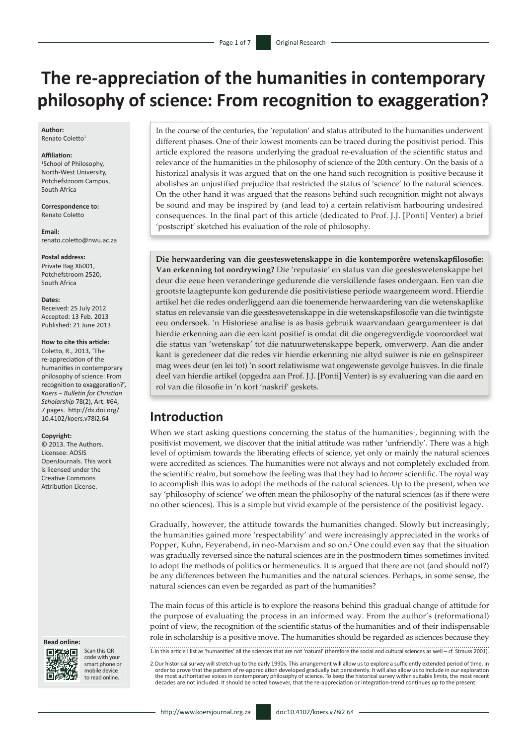# **The re-appreciation of the humanities in contemporary philosophy of science: From recognition to exaggeration?**

#### **Author:** Renato Coletto1

#### **Affiliation:**

1 School of Philosophy, North-West University, Potchefstroom Campus, South Africa

**Correspondence to:** Renato Coletto

**Email:** [renato.coletto@nwu.ac.za](mailto:renato.coletto@nwu.ac.za)

**Postal address:**

Private Bag X6001, Potchefstroom 2520, South Africa

#### **Dates:**

Received: 25 July 2012 Accepted: 13 Feb. 2013 Published: 21 June 2013

#### **How to cite this article:**

Coletto, R., 2013, 'The re-appreciation of the humanities in contemporary philosophy of science: From recognition to exaggeration?', *Koers – Bulletin for Christian Scholarship* 78(2), Art. #64, 7 pages. [http://dx.doi.org/](http://dx.doi.org/10.4102/koers.v78i2.64)  [10.4102/koers.v78i2.64](http://dx.doi.org/10.4102/koers.v78i2.64)

#### **Copyright:**

© 2013. The Authors. Licensee: AOSIS OpenJournals. This work is licensed under the Creative Commons Attribution License.

#### **Read online:**



Scan this QR code with your smart phone or mobile device to read online.

In the course of the centuries, the 'reputation' and status attributed to the humanities underwent different phases. One of their lowest moments can be traced during the positivist period. This article explored the reasons underlying the gradual re-evaluation of the scientific status and relevance of the humanities in the philosophy of science of the 20th century. On the basis of a historical analysis it was argued that on the one hand such recognition is positive because it abolishes an unjustified prejudice that restricted the status of 'science' to the natural sciences. On the other hand it was argued that the reasons behind such recognition might not always be sound and may be inspired by (and lead to) a certain relativism harbouring undesired consequences. In the final part of this article (dedicated to Prof. J.J. [Ponti] Venter) a brief 'postscript' sketched his evaluation of the role of philosophy.

**Die herwaardering van die geesteswetenskappe in die kontemporêre wetenskapfilosofie: Van erkenning tot oordrywing?** Die 'reputasie' en status van die geesteswetenskappe het deur die eeue heen veranderinge gedurende die verskillende fases ondergaan. Een van die grootste laagtepunte kon gedurende die positivistiese periode waargeneem word. Hierdie artikel het die redes onderliggend aan die toenemende herwaardering van die wetenskaplike status en relevansie van die geesteswetenskappe in die wetenskapsfilosofie van die twintigste eeu ondersoek. 'n Historiese analise is as basis gebruik waarvandaan geargumenteer is dat hierdie erkenning aan die een kant positief is omdat dit die ongeregverdigde vooroordeel wat die status van 'wetenskap' tot die natuurwetenskappe beperk, omverwerp. Aan die ander kant is geredeneer dat die redes vir hierdie erkenning nie altyd suiwer is nie en geïnspireer mag wees deur (en lei tot) 'n soort relatiwisme wat ongewenste gevolge huisves. In die finale deel van hierdie artikel (opgedra aan Prof. J.J. [Ponti] Venter) is sy evaluering van die aard en rol van die filosofie in 'n kort 'naskrif' geskets.

#### **Introduction**

When we start asking questions concerning the status of the humanities<sup>1</sup>, beginning with the positivist movement, we discover that the initial attitude was rather 'unfriendly'. There was a high level of optimism towards the liberating effects of science, yet only or mainly the natural sciences were accredited as sciences. The humanities were not always and not completely excluded from the scientific realm, but somehow the feeling was that they had to *become* scientific. The royal way to accomplish this was to adopt the methods of the natural sciences. Up to the present, when we say 'philosophy of science' we often mean the philosophy of the natural sciences (as if there were no other sciences). This is a simple but vivid example of the persistence of the positivist legacy.

Gradually, however, the attitude towards the humanities changed. Slowly but increasingly, the humanities gained more 'respectability' and were increasingly appreciated in the works of Popper, Kuhn, Feyerabend, in neo-Marxism and so on.2 One could even say that the situation was gradually reversed since the natural sciences are in the postmodern times sometimes invited to adopt the methods of politics or hermeneutics. It is argued that there are not (and should not?) be any differences between the humanities and the natural sciences. Perhaps, in some sense, the natural sciences can even be regarded as part of the humanities?

The main focus of this article is to explore the reasons behind this gradual change of attitude for the purpose of evaluating the process in an informed way. From the author's (reformational) point of view, the recognition of the scientific status of the humanities and of their indispensable role in scholarship is a positive move. The humanities should be regarded as sciences because they

1.In this article I list as 'humanities' all the sciences that are not 'natural' (therefore the social and cultural sciences as well – cf. Strauss 2001).

2.Our historical survey will stretch up to the early 1990s. This arrangement will allow us to explore a sufficiently extended period of time, in order to prove that the pattern of re-appreciation developed gradually but persistently. It will also allow us to include in our exploration the most authoritative voices in contemporary philosophy of science. To keep the historical survey within suitable limits, the most recent<br>decades are not included. It should be noted however, that the re-appreciation or i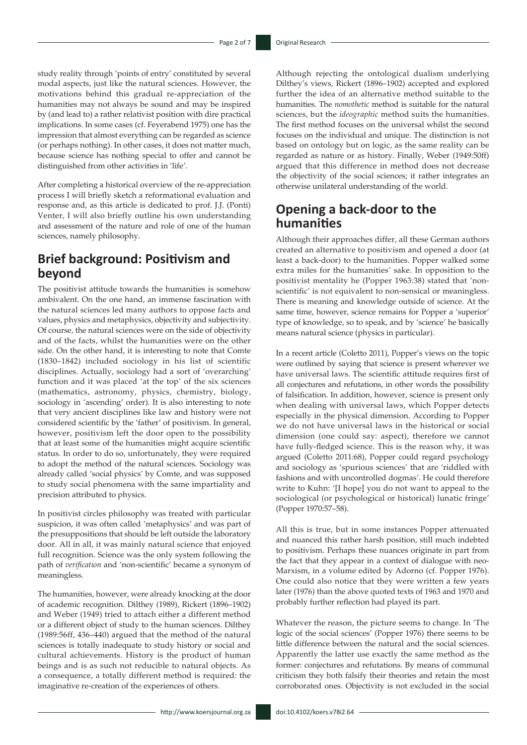study reality through 'points of entry' constituted by several modal aspects, just like the natural sciences. However, the motivations behind this gradual re-appreciation of the humanities may not always be sound and may be inspired by (and lead to) a rather relativist position with dire practical implications. In some cases (cf. Feyerabend 1975) one has the impression that almost everything can be regarded as science (or perhaps nothing). In other cases, it does not matter much, because science has nothing special to offer and cannot be distinguished from other activities in 'life'.

After completing a historical overview of the re-appreciation process I will briefly sketch a reformational evaluation and response and, as this article is dedicated to prof. J.J. (Ponti) Venter, I will also briefly outline his own understanding and assessment of the nature and role of one of the human sciences, namely philosophy.

### **Brief background: Positivism and beyond**

The positivist attitude towards the humanities is somehow ambivalent. On the one hand, an immense fascination with the natural sciences led many authors to oppose facts and values, physics and metaphysics, objectivity and subjectivity. Of course, the natural sciences were on the side of objectivity and of the facts, whilst the humanities were on the other side. On the other hand, it is interesting to note that Comte (1830–1842) included sociology in his list of scientific disciplines. Actually, sociology had a sort of 'overarching' function and it was placed 'at the top' of the six sciences (mathematics, astronomy, physics, chemistry, biology, sociology in 'ascending' order). It is also interesting to note that very ancient disciplines like law and history were not considered scientific by the 'father' of positivism. In general, however, positivism left the door open to the possibility that at least some of the humanities might acquire scientific status. In order to do so, unfortunately, they were required to adopt the method of the natural sciences. Sociology was already called 'social physics' by Comte, and was supposed to study social phenomena with the same impartiality and precision attributed to physics.

In positivist circles philosophy was treated with particular suspicion, it was often called 'metaphysics' and was part of the presuppositions that should be left outside the laboratory door. All in all, it was mainly natural science that enjoyed full recognition. Science was the only system following the path of *verification* and 'non-scientific' became a synonym of meaningless.

The humanities, however, were already knocking at the door of academic recognition. Dilthey (1989), Rickert (1896–1902) and Weber (1949) tried to attach either a different method or a different object of study to the human sciences. Dilthey (1989:56ff, 436–440) argued that the method of the natural sciences is totally inadequate to study history or social and cultural achievements. History is the product of human beings and is as such not reducible to natural objects. As a consequence, a totally different method is required: the imaginative re-creation of the experiences of others.

Although rejecting the ontological dualism underlying Dilthey's views, Rickert (1896–1902) accepted and explored further the idea of an alternative method suitable to the humanities. The *nomothetic* method is suitable for the natural sciences, but the *ideographic* method suits the humanities. The first method focuses on the universal whilst the second focuses on the individual and unique. The distinction is not based on ontology but on logic, as the same reality can be regarded as nature or as history. Finally, Weber (1949:50ff) argued that this difference in method does not decrease the objectivity of the social sciences; it rather integrates an otherwise unilateral understanding of the world.

# **Opening a back-door to the humanities**

Although their approaches differ, all these German authors created an alternative to positivism and opened a door (at least a back-door) to the humanities. Popper walked some extra miles for the humanities' sake. In opposition to the positivist mentality he (Popper 1963:38) stated that 'nonscientific' is not equivalent to non-sensical or meaningless. There is meaning and knowledge outside of science. At the same time, however, science remains for Popper a 'superior' type of knowledge, so to speak, and by 'science' he basically means natural science (physics in particular).

In a recent article (Coletto 2011), Popper's views on the topic were outlined by saying that science is present wherever we have universal laws. The scientific attitude requires first of all conjectures and refutations, in other words the possibility of falsification. In addition, however, science is present only when dealing with universal laws, which Popper detects especially in the physical dimension. According to Popper we do not have universal laws in the historical or social dimension (one could say: aspect), therefore we cannot have fully-fledged science. This is the reason why, it was argued (Coletto 2011:68), Popper could regard psychology and sociology as 'spurious sciences' that are 'riddled with fashions and with uncontrolled dogmas'. He could therefore write to Kuhn: '[I hope] you do not want to appeal to the sociological (or psychological or historical) lunatic fringe' (Popper 1970:57–58).

All this is true, but in some instances Popper attenuated and nuanced this rather harsh position, still much indebted to positivism. Perhaps these nuances originate in part from the fact that they appear in a context of dialogue with neo-Marxism, in a volume edited by Adorno (cf. Popper 1976). One could also notice that they were written a few years later (1976) than the above quoted texts of 1963 and 1970 and probably further reflection had played its part.

Whatever the reason, the picture seems to change. In 'The logic of the social sciences' (Popper 1976) there seems to be little difference between the natural and the social sciences. Apparently the latter use exactly the same method as the former: conjectures and refutations. By means of communal criticism they both falsify their theories and retain the most corroborated ones. Objectivity is not excluded in the social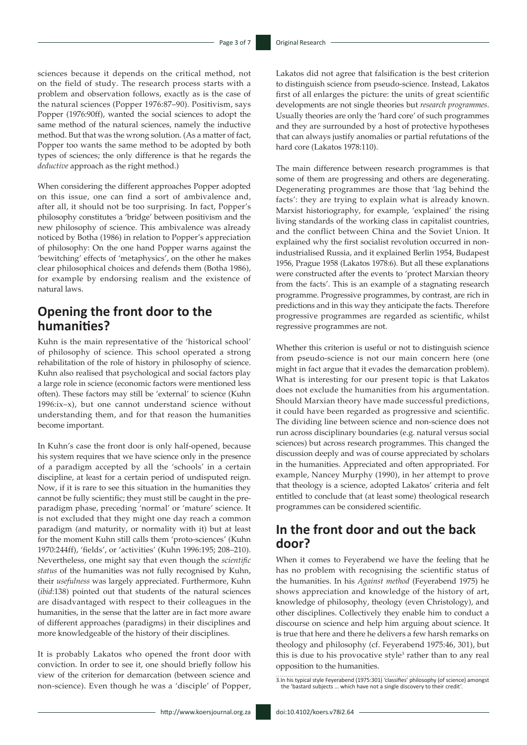sciences because it depends on the critical method, not on the field of study. The research process starts with a problem and observation follows, exactly as is the case of the natural sciences (Popper 1976:87–90). Positivism, says Popper (1976:90ff), wanted the social sciences to adopt the same method of the natural sciences, namely the inductive method. But that was the wrong solution. (As a matter of fact, Popper too wants the same method to be adopted by both types of sciences; the only difference is that he regards the *deductive* approach as the right method.)

When considering the different approaches Popper adopted on this issue, one can find a sort of ambivalence and, after all, it should not be too surprising. In fact, Popper's philosophy constitutes a 'bridge' between positivism and the new philosophy of science. This ambivalence was already noticed by Botha (1986) in relation to Popper's appreciation of philosophy: On the one hand Popper warns against the 'bewitching' effects of 'metaphysics', on the other he makes clear philosophical choices and defends them (Botha 1986), for example by endorsing realism and the existence of natural laws.

## **Opening the front door to the humanities?**

Kuhn is the main representative of the 'historical school' of philosophy of science. This school operated a strong rehabilitation of the role of history in philosophy of science. Kuhn also realised that psychological and social factors play a large role in science (economic factors were mentioned less often). These factors may still be 'external' to science (Kuhn 1996:ix–x), but one cannot understand science without understanding them, and for that reason the humanities become important.

In Kuhn's case the front door is only half-opened, because his system requires that we have science only in the presence of a paradigm accepted by all the 'schools' in a certain discipline, at least for a certain period of undisputed reign. Now, if it is rare to see this situation in the humanities they cannot be fully scientific; they must still be caught in the preparadigm phase, preceding 'normal' or 'mature' science. It is not excluded that they might one day reach a common paradigm (and maturity, or normality with it) but at least for the moment Kuhn still calls them 'proto-sciences' (Kuhn 1970:244ff), 'fields', or 'activities' (Kuhn 1996:195; 208–210). Nevertheless, one might say that even though the *scientific status* of the humanities was not fully recognised by Kuhn, their *usefulness* was largely appreciated. Furthermore, Kuhn (*ibid*:138) pointed out that students of the natural sciences are disadvantaged with respect to their colleagues in the humanities, in the sense that the latter are in fact more aware of different approaches (paradigms) in their disciplines and more knowledgeable of the history of their disciplines.

It is probably Lakatos who opened the front door with conviction. In order to see it, one should briefly follow his view of the criterion for demarcation (between science and non-science). Even though he was a 'disciple' of Popper,

Lakatos did not agree that falsification is the best criterion to distinguish science from pseudo-science. Instead, Lakatos first of all enlarges the picture: the units of great scientific developments are not single theories but *research programmes*. Usually theories are only the 'hard core' of such programmes and they are surrounded by a host of protective hypotheses that can always justify anomalies or partial refutations of the hard core (Lakatos 1978:110).

The main difference between research programmes is that some of them are progressing and others are degenerating. Degenerating programmes are those that 'lag behind the facts': they are trying to explain what is already known. Marxist historiography, for example, 'explained' the rising living standards of the working class in capitalist countries, and the conflict between China and the Soviet Union. It explained why the first socialist revolution occurred in nonindustrialised Russia, and it explained Berlin 1954, Budapest 1956, Prague 1958 (Lakatos 1978:6). But all these explanations were constructed after the events to 'protect Marxian theory from the facts'. This is an example of a stagnating research programme. Progressive programmes, by contrast, are rich in predictions and in this way they anticipate the facts. Therefore progressive programmes are regarded as scientific, whilst regressive programmes are not.

Whether this criterion is useful or not to distinguish science from pseudo-science is not our main concern here (one might in fact argue that it evades the demarcation problem). What is interesting for our present topic is that Lakatos does not exclude the humanities from his argumentation. Should Marxian theory have made successful predictions, it could have been regarded as progressive and scientific. The dividing line between science and non-science does not run across disciplinary boundaries (e.g. natural versus social sciences) but across research programmes. This changed the discussion deeply and was of course appreciated by scholars in the humanities. Appreciated and often appropriated. For example, Nancey Murphy (1990), in her attempt to prove that theology is a science, adopted Lakatos' criteria and felt entitled to conclude that (at least some) theological research programmes can be considered scientific.

## **In the front door and out the back door?**

When it comes to Feyerabend we have the feeling that he has no problem with recognising the scientific status of the humanities. In his *Against method* (Feyerabend 1975) he shows appreciation and knowledge of the history of art, knowledge of philosophy, theology (even Christology), and other disciplines. Collectively they enable him to conduct a discourse on science and help him arguing about science. It is true that here and there he delivers a few harsh remarks on theology and philosophy (cf. Feyerabend 1975:46, 301), but this is due to his provocative style<sup>3</sup> rather than to any real opposition to the humanities.

3.In his typical style Feyerabend (1975:301) 'classifies' philosophy (of science) amongst the 'bastard subjects … which have not a single discovery to their credit'.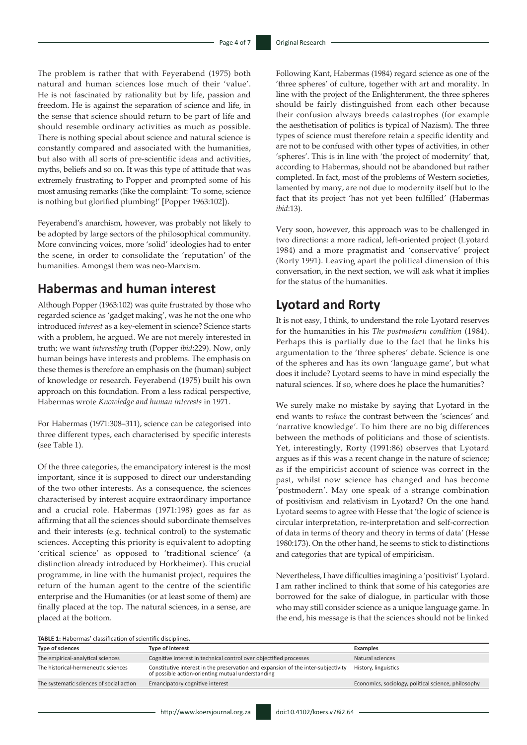The problem is rather that with Feyerabend (1975) both natural and human sciences lose much of their 'value'. He is not fascinated by rationality but by life, passion and freedom. He is against the separation of science and life, in the sense that science should return to be part of life and should resemble ordinary activities as much as possible. There is nothing special about science and natural science is constantly compared and associated with the humanities, but also with all sorts of pre-scientific ideas and activities, myths, beliefs and so on. It was this type of attitude that was extremely frustrating to Popper and prompted some of his most amusing remarks (like the complaint: 'To some, science is nothing but glorified plumbing!' [Popper 1963:102]).

Feyerabend's anarchism, however, was probably not likely to be adopted by large sectors of the philosophical community. More convincing voices, more 'solid' ideologies had to enter the scene, in order to consolidate the 'reputation' of the humanities. Amongst them was neo-Marxism.

### **Habermas and human interest**

Although Popper (1963:102) was quite frustrated by those who regarded science as 'gadget making', was he not the one who introduced *interest* as a key-element in science? Science starts with a problem, he argued. We are not merely interested in truth; we want *interesting* truth (Popper *ibid*:229). Now, only human beings have interests and problems. The emphasis on these themes is therefore an emphasis on the (human) subject of knowledge or research. Feyerabend (1975) built his own approach on this foundation. From a less radical perspective, Habermas wrote *Knowledge and human interests* in 1971.

For Habermas (1971:308–311), science can be categorised into three different types, each characterised by specific interests (see Table 1).

Of the three categories, the emancipatory interest is the most important, since it is supposed to direct our understanding of the two other interests. As a consequence, the sciences characterised by interest acquire extraordinary importance and a crucial role. Habermas (1971:198) goes as far as affirming that all the sciences should subordinate themselves and their interests (e.g. technical control) to the systematic sciences. Accepting this priority is equivalent to adopting 'critical science' as opposed to 'traditional science' (a distinction already introduced by Horkheimer). This crucial programme, in line with the humanist project, requires the return of the human agent to the centre of the scientific enterprise and the Humanities (or at least some of them) are finally placed at the top. The natural sciences, in a sense, are placed at the bottom.

Following Kant, Habermas (1984) regard science as one of the 'three spheres' of culture, together with art and morality. In line with the project of the Enlightenment, the three spheres should be fairly distinguished from each other because their confusion always breeds catastrophes (for example the aesthetisation of politics is typical of Nazism). The three types of science must therefore retain a specific identity and are not to be confused with other types of activities, in other 'spheres'. This is in line with 'the project of modernity' that, according to Habermas, should not be abandoned but rather completed. In fact, most of the problems of Western societies, lamented by many, are not due to modernity itself but to the fact that its project 'has not yet been fulfilled' (Habermas *ibid*:13).

Very soon, however, this approach was to be challenged in two directions: a more radical, left-oriented project (Lyotard 1984) and a more pragmatist and 'conservative' project (Rorty 1991). Leaving apart the political dimension of this conversation, in the next section, we will ask what it implies for the status of the humanities.

### **Lyotard and Rorty**

It is not easy, I think, to understand the role Lyotard reserves for the humanities in his *The postmodern condition* (1984). Perhaps this is partially due to the fact that he links his argumentation to the 'three spheres' debate. Science is one of the spheres and has its own 'language game', but what does it include? Lyotard seems to have in mind especially the natural sciences. If so, where does he place the humanities?

We surely make no mistake by saying that Lyotard in the end wants to *reduce* the contrast between the 'sciences' and 'narrative knowledge'. To him there are no big differences between the methods of politicians and those of scientists. Yet, interestingly, Rorty (1991:86) observes that Lyotard argues as if this was a recent change in the nature of science; as if the empiricist account of science was correct in the past, whilst now science has changed and has become 'postmodern'. May one speak of a strange combination of positivism and relativism in Lyotard? On the one hand Lyotard seems to agree with Hesse that 'the logic of science is circular interpretation, re-interpretation and self-correction of data in terms of theory and theory in terms of data' (Hesse 1980:173). On the other hand, he seems to stick to distinctions and categories that are typical of empiricism.

Nevertheless, I have difficulties imagining a 'positivist' Lyotard. I am rather inclined to think that some of his categories are borrowed for the sake of dialogue, in particular with those who may still consider science as a unique language game. In the end, his message is that the sciences should not be linked

| TABLE 1: Habermas' classification of scientific disciplines. |                                                                                                                                        |                                                     |
|--------------------------------------------------------------|----------------------------------------------------------------------------------------------------------------------------------------|-----------------------------------------------------|
| Type of sciences                                             | Type of interest                                                                                                                       | <b>Examples</b>                                     |
| The empirical-analytical sciences                            | Cognitive interest in technical control over objectified processes                                                                     | Natural sciences                                    |
| The historical-hermeneutic sciences                          | Constitutive interest in the preservation and expansion of the inter-subjectivity<br>of possible action-orienting mutual understanding | History, linguistics                                |
| The systematic sciences of social action                     | Emancipatory cognitive interest                                                                                                        | Economics, sociology, political science, philosophy |
|                                                              |                                                                                                                                        |                                                     |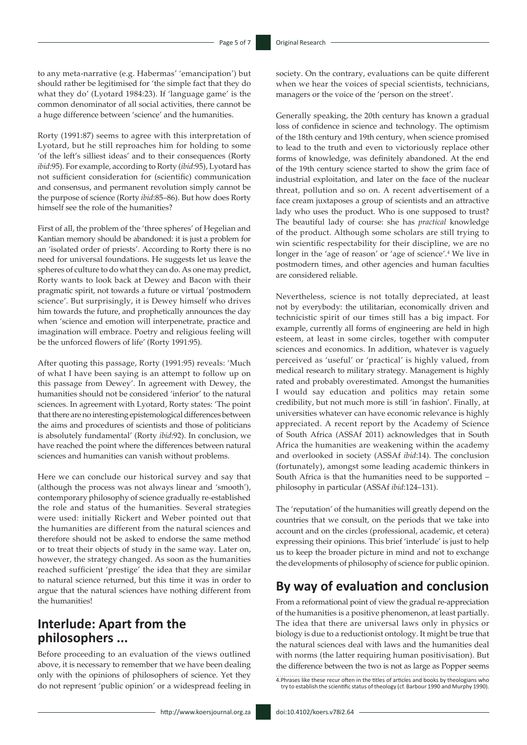to any meta-narrative (e.g. Habermas' 'emancipation') but should rather be legitimised for 'the simple fact that they do what they do' (Lyotard 1984:23). If 'language game' is the common denominator of all social activities, there cannot be a huge difference between 'science' and the humanities.

Rorty (1991:87) seems to agree with this interpretation of Lyotard, but he still reproaches him for holding to some 'of the left's silliest ideas' and to their consequences (Rorty *ibid*:95). For example, according to Rorty (*ibid*:95), Lyotard has not sufficient consideration for (scientific) communication and consensus, and permanent revolution simply cannot be the purpose of science (Rorty *ibid*:85–86). But how does Rorty himself see the role of the humanities?

First of all, the problem of the 'three spheres' of Hegelian and Kantian memory should be abandoned: it is just a problem for an 'isolated order of priests'. According to Rorty there is no need for universal foundations. He suggests let us leave the spheres of culture to do what they can do. As one may predict, Rorty wants to look back at Dewey and Bacon with their pragmatic spirit, not towards a future or virtual 'postmodern science'. But surprisingly, it is Dewey himself who drives him towards the future, and prophetically announces the day when 'science and emotion will interpenetrate, practice and imagination will embrace. Poetry and religious feeling will be the unforced flowers of life' (Rorty 1991:95).

After quoting this passage, Rorty (1991:95) reveals: 'Much of what I have been saying is an attempt to follow up on this passage from Dewey'. In agreement with Dewey, the humanities should not be considered 'inferior' to the natural sciences. In agreement with Lyotard, Rorty states: 'The point that there are no interesting epistemological differences between the aims and procedures of scientists and those of politicians is absolutely fundamental' (Rorty *ibid*:92). In conclusion, we have reached the point where the differences between natural sciences and humanities can vanish without problems.

Here we can conclude our historical survey and say that (although the process was not always linear and 'smooth'), contemporary philosophy of science gradually re-established the role and status of the humanities. Several strategies were used: initially Rickert and Weber pointed out that the humanities are different from the natural sciences and therefore should not be asked to endorse the same method or to treat their objects of study in the same way. Later on, however, the strategy changed. As soon as the humanities reached sufficient 'prestige' the idea that they are similar to natural science returned, but this time it was in order to argue that the natural sciences have nothing different from the humanities!

# **Interlude: Apart from the philosophers ...**

Before proceeding to an evaluation of the views outlined above, it is necessary to remember that we have been dealing only with the opinions of philosophers of science. Yet they do not represent 'public opinion' or a widespread feeling in society. On the contrary, evaluations can be quite different when we hear the voices of special scientists, technicians, managers or the voice of the 'person on the street'.

Generally speaking, the 20th century has known a gradual loss of confidence in science and technology. The optimism of the 18th century and 19th century, when science promised to lead to the truth and even to victoriously replace other forms of knowledge, was definitely abandoned. At the end of the 19th century science started to show the grim face of industrial exploitation, and later on the face of the nuclear threat, pollution and so on. A recent advertisement of a face cream juxtaposes a group of scientists and an attractive lady who uses the product. Who is one supposed to trust? The beautiful lady of course: she has *practical* knowledge of the product. Although some scholars are still trying to win scientific respectability for their discipline, we are no longer in the 'age of reason' or 'age of science'.<sup>4</sup> We live in postmodern times, and other agencies and human faculties are considered reliable.

Nevertheless, science is not totally depreciated, at least not by everybody: the utilitarian, economically driven and technicistic spirit of our times still has a big impact. For example, currently all forms of engineering are held in high esteem, at least in some circles, together with computer sciences and economics. In addition, whatever is vaguely perceived as 'useful' or 'practical' is highly valued, from medical research to military strategy. Management is highly rated and probably overestimated. Amongst the humanities I would say education and politics may retain some credibility, but not much more is still 'in fashion'. Finally, at universities whatever can have economic relevance is highly appreciated. A recent report by the Academy of Science of South Africa (ASSAf 2011) acknowledges that in South Africa the humanities are weakening within the academy and overlooked in society (ASSAf *ibid*:14). The conclusion (fortunately), amongst some leading academic thinkers in South Africa is that the humanities need to be supported – philosophy in particular (ASSAf *ibid*:124–131).

The 'reputation' of the humanities will greatly depend on the countries that we consult, on the periods that we take into account and on the circles (professional, academic, et cetera) expressing their opinions. This brief 'interlude' is just to help us to keep the broader picture in mind and not to exchange the developments of philosophy of science for public opinion.

## **By way of evaluation and conclusion**

From a reformational point of view the gradual re-appreciation of the humanities is a positive phenomenon, at least partially. The idea that there are universal laws only in physics or biology is due to a reductionist ontology. It might be true that the natural sciences deal with laws and the humanities deal with norms (the latter requiring human positivisation). But the difference between the two is not as large as Popper seems

<sup>4.</sup>Phrases like these recur often in the titles of articles and books by theologians who try to establish the scientific status of theology (cf. Barbour 1990 and Murphy 1990).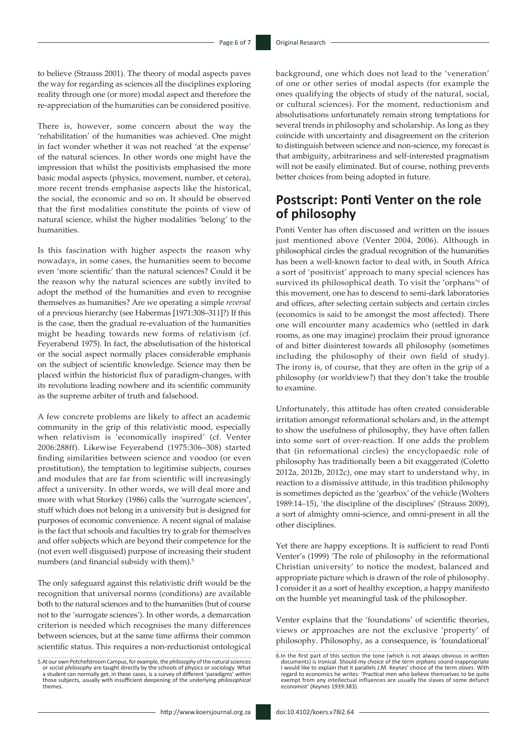to believe (Strauss 2001). The theory of modal aspects paves the way for regarding as sciences all the disciplines exploring reality through one (or more) modal aspect and therefore the re-appreciation of the humanities can be considered positive.

There is, however, some concern about the way the 'rehabilitation' of the humanities was achieved. One might in fact wonder whether it was not reached 'at the expense' of the natural sciences. In other words one might have the impression that whilst the positivists emphasised the more basic modal aspects (physics, movement, number, et cetera), more recent trends emphasise aspects like the historical, the social, the economic and so on. It should be observed that the first modalities constitute the points of view of natural science, whilst the higher modalities 'belong' to the humanities.

Is this fascination with higher aspects the reason why nowadays, in some cases, the humanities seem to become even 'more scientific' than the natural sciences? Could it be the reason why the natural sciences are subtly invited to adopt the method of the humanities and even to recognise themselves as humanities? Are we operating a simple *reversal* of a previous hierarchy (see Habermas [1971:308–311]?) If this is the case, then the gradual re-evaluation of the humanities might be heading towards new forms of relativism (cf. Feyerabend 1975). In fact, the absolutisation of the historical or the social aspect normally places considerable emphasis on the subject of scientific knowledge. Science may then be placed within the historicist flux of paradigm-changes, with its revolutions leading nowhere and its scientific community as the supreme arbiter of truth and falsehood.

A few concrete problems are likely to affect an academic community in the grip of this relativistic mood, especially when relativism is 'economically inspired' (cf. Venter 2006:288ff). Likewise Feyerabend (1975:306–308) started finding similarities between science and voodoo (or even prostitution), the temptation to legitimise subjects, courses and modules that are far from scientific will increasingly affect a university. In other words, we will deal more and more with what Storkey (1986) calls the 'surrogate sciences', stuff which does not belong in a university but is designed for purposes of economic convenience. A recent signal of malaise is the fact that schools and faculties try to grab for themselves and offer subjects which are beyond their competence for the (not even well disguised) purpose of increasing their student numbers (and financial subsidy with them).<sup>5</sup>

The only safeguard against this relativistic drift would be the recognition that universal norms (conditions) are available both to the natural sciences and to the humanities (but of course not to the 'surrogate sciences'). In other words, a demarcation criterion is needed which recognises the many differences between sciences, but at the same time affirms their common scientific status. This requires a non-reductionist ontological background, one which does not lead to the 'veneration' of one or other series of modal aspects (for example the ones qualifying the objects of study of the natural, social, or cultural sciences). For the moment, reductionism and absolutisations unfortunately remain strong temptations for several trends in philosophy and scholarship. As long as they coincide with uncertainty and disagreement on the criterion to distinguish between science and non-science, my forecast is that ambiguity, arbitrariness and self-interested pragmatism will not be easily eliminated. But of course, nothing prevents better choices from being adopted in future.

## **Postscript: Ponti Venter on the role of philosophy**

Ponti Venter has often discussed and written on the issues just mentioned above (Venter 2004, 2006). Although in philosophical circles the gradual recognition of the humanities has been a well-known factor to deal with, in South Africa a sort of 'positivist' approach to many special sciences has survived its philosophical death. To visit the 'orphans'<sup>6</sup> of this movement, one has to descend to semi-dark laboratories and offices, after selecting certain subjects and certain circles (economics is said to be amongst the most affected). There one will encounter many academics who (settled in dark rooms, as one may imagine) proclaim their proud ignorance of and bitter disinterest towards all philosophy (sometimes including the philosophy of their own field of study). The irony is, of course, that they are often in the grip of a philosophy (or worldview?) that they don't take the trouble to examine.

Unfortunately, this attitude has often created considerable irritation amongst reformational scholars and, in the attempt to show the usefulness of philosophy, they have often fallen into some sort of over-reaction. If one adds the problem that (in reformational circles) the encyclopaedic role of philosophy has traditionally been a bit exaggerated (Coletto 2012a, 2012b, 2012c), one may start to understand why, in reaction to a dismissive attitude, in this tradition philosophy is sometimes depicted as the 'gearbox' of the vehicle (Wolters 1989:14–15), 'the discipline of the disciplines' (Strauss 2009), a sort of almighty omni-science, and omni-present in all the other disciplines.

Yet there are happy exceptions. It is sufficient to read Ponti Venter's (1999) 'The role of philosophy in the reformational Christian university' to notice the modest, balanced and appropriate picture which is drawn of the role of philosophy. I consider it as a sort of healthy exception, a happy manifesto on the humble yet meaningful task of the philosopher.

Venter explains that the 'foundations' of scientific theories, views or approaches are not the exclusive 'property' of philosophy. Philosophy, as a consequence, is 'foundational'

<sup>5.</sup> At our own Potchefstroom Campus, for example, the *philosophy* of the natural sciences<br>or social *philosophy* are taught directly by the schools of physics or sociology. What<br>a student can normally get, in these cases, those subjects, usually with insufficient deepening of the underlying *philosophical*  themes.

<sup>6.</sup>In the first part of this section the tone (which is not always obvious in written documents) is ironical. Should my choice of the term *orphans* sound inappropriate<br>I would like to explain that it parallels J.M. Keynes' choice of the term slaves. With<br>regard to economics he writes: 'Practical men who be exempt from any intellectual influences are usually the slaves of some defunct economist' (Keynes 1939:383).